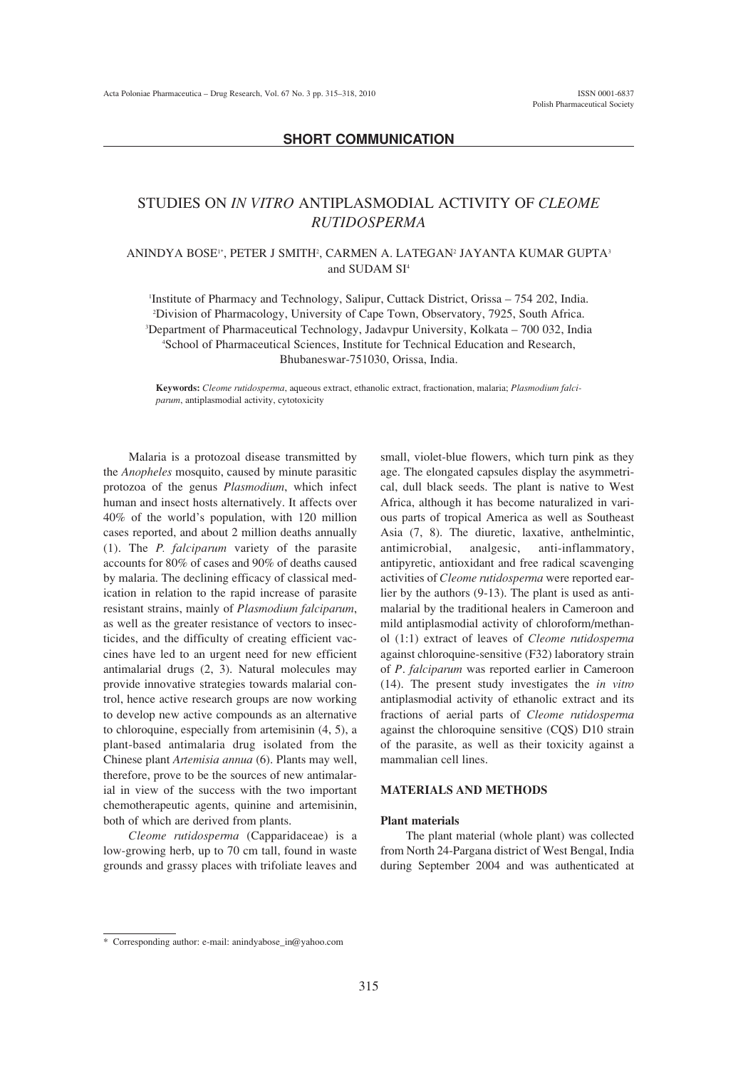# **SHORT COMMUNICATION**

# STUDIES ON *IN VITRO* ANTIPLASMODIAL ACTIVITY OF *CLEOME RUTIDOSPERMA*

### ANINDYA BOSE'\*, PETER J SMITH<del>'</del>, CARMEN A. LATEGAN<del>'</del> JAYANTA KUMAR GUPTA $^3$ and SUDAM SI<sup>4</sup>

Institute of Pharmacy and Technology, Salipur, Cuttack District, Orissa - 754 202, India. 2 Division of Pharmacology, University of Cape Town, Observatory, 7925, South Africa. <sup>3</sup>Department of Pharmaceutical Technology, Jadavpur University, Kolkata - 700 032, India 4 School of Pharmaceutical Sciences, Institute for Technical Education and Research, Bhubaneswar-751030, Orissa, India.

**Keywords:** *Cleome rutidosperma*, aqueous extract, ethanolic extract, fractionation, malaria; *Plasmodium falciparum*, antiplasmodial activity, cytotoxicity

Malaria is a protozoal disease transmitted by the *Anopheles* mosquito, caused by minute parasitic protozoa of the genus *Plasmodium*, which infect human and insect hosts alternatively. It affects over  $40\%$  of the world's population, with 120 million cases reported, and about 2 million deaths annually (1). The *P. falciparum* variety of the parasite accounts for 80% of cases and 90% of deaths caused by malaria. The declining efficacy of classical medication in relation to the rapid increase of parasite resistant strains, mainly of *Plasmodium falciparum*, as well as the greater resistance of vectors to insecticides, and the difficulty of creating efficient vaccines have led to an urgent need for new efficient antimalarial drugs (2, 3). Natural molecules may provide innovative strategies towards malarial control, hence active research groups are now working to develop new active compounds as an alternative to chloroquine, especially from artemisinin (4, 5), a plant-based antimalaria drug isolated from the Chinese plant *Artemisia annua* (6). Plants may well, therefore, prove to be the sources of new antimalarial in view of the success with the two important chemotherapeutic agents, quinine and artemisinin, both of which are derived from plants.

*Cleome rutidosperma* (Capparidaceae) is a low-growing herb, up to 70 cm tall, found in waste grounds and grassy places with trifoliate leaves and small, violet-blue flowers, which turn pink as they age. The elongated capsules display the asymmetrical, dull black seeds. The plant is native to West Africa, although it has become naturalized in various parts of tropical America as well as Southeast Asia (7, 8). The diuretic, laxative, anthelmintic, antimicrobial, analgesic, anti-inflammatory, antipyretic, antioxidant and free radical scavenging activities of *Cleome rutidosperma* were reported earlier by the authors (9-13). The plant is used as antimalarial by the traditional healers in Cameroon and mild antiplasmodial activity of chloroform/methanol (1:1) extract of leaves of *Cleome rutidosperma* against chloroquine-sensitive (F32) laboratory strain of *P*. *falciparum* was reported earlier in Cameroon (14). The present study investigates the *in vitro* antiplasmodial activity of ethanolic extract and its fractions of aerial parts of *Cleome rutidosperma* against the chloroquine sensitive (CQS) D10 strain of the parasite, as well as their toxicity against a mammalian cell lines.

# **MATERIALS AND METHODS**

#### **Plant materials**

The plant material (whole plant) was collected from North 24-Pargana district of West Bengal, India during September 2004 and was authenticated at

<sup>\*</sup> Corresponding author: e-mail: anindyabose  $in@$ yahoo.com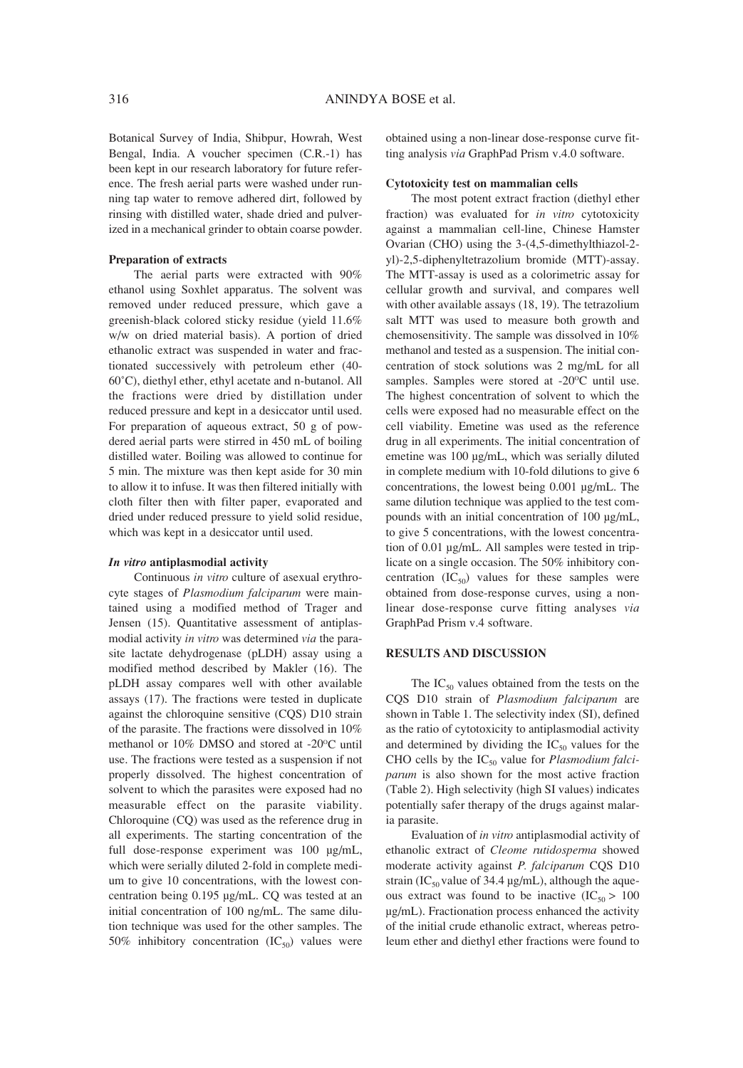Botanical Survey of India, Shibpur, Howrah, West Bengal, India. A voucher specimen (C.R.-1) has been kept in our research laboratory for future reference. The fresh aerial parts were washed under running tap water to remove adhered dirt, followed by rinsing with distilled water, shade dried and pulverized in a mechanical grinder to obtain coarse powder.

#### **Preparation of extracts**

The aerial parts were extracted with 90% ethanol using Soxhlet apparatus. The solvent was removed under reduced pressure, which gave a greenish-black colored sticky residue (yield 11.6% w/w on dried material basis). A portion of dried ethanolic extract was suspended in water and fractionated successively with petroleum ether (40- 60∞C), diethyl ether, ethyl acetate and n-butanol. All the fractions were dried by distillation under reduced pressure and kept in a desiccator until used. For preparation of aqueous extract, 50 g of powdered aerial parts were stirred in 450 mL of boiling distilled water. Boiling was allowed to continue for 5 min. The mixture was then kept aside for 30 min to allow it to infuse. It was then filtered initially with cloth filter then with filter paper, evaporated and dried under reduced pressure to yield solid residue, which was kept in a desiccator until used.

#### *In vitro* **antiplasmodial activity**

Continuous *in vitro* culture of asexual erythrocyte stages of *Plasmodium falciparum* were maintained using a modified method of Trager and Jensen (15). Quantitative assessment of antiplasmodial activity *in vitro* was determined *via* the parasite lactate dehydrogenase (pLDH) assay using a modified method described by Makler (16). The pLDH assay compares well with other available assays (17). The fractions were tested in duplicate against the chloroquine sensitive (CQS) D10 strain of the parasite. The fractions were dissolved in 10% methanol or  $10\%$  DMSO and stored at -20 $\degree$ C until use. The fractions were tested as a suspension if not properly dissolved. The highest concentration of solvent to which the parasites were exposed had no measurable effect on the parasite viability. Chloroquine (CQ) was used as the reference drug in all experiments. The starting concentration of the full dose-response experiment was 100 µg/mL, which were serially diluted 2-fold in complete medium to give 10 concentrations, with the lowest concentration being 0.195 µg/mL. CQ was tested at an initial concentration of 100 ng/mL. The same dilution technique was used for the other samples. The 50% inhibitory concentration  $(IC_{50})$  values were obtained using a non-linear dose-response curve fitting analysis *via* GraphPad Prism v.4.0 software.

#### **Cytotoxicity test on mammalian cells**

The most potent extract fraction (diethyl ether fraction) was evaluated for *in vitro* cytotoxicity against a mammalian cell-line, Chinese Hamster Ovarian (CHO) using the 3-(4,5-dimethylthiazol-2 yl)-2,5-diphenyltetrazolium bromide (MTT)-assay. The MTT-assay is used as a colorimetric assay for cellular growth and survival, and compares well with other available assays (18, 19). The tetrazolium salt MTT was used to measure both growth and chemosensitivity. The sample was dissolved in 10% methanol and tested as a suspension. The initial concentration of stock solutions was 2 mg/mL for all samples. Samples were stored at -20°C until use. The highest concentration of solvent to which the cells were exposed had no measurable effect on the cell viability. Emetine was used as the reference drug in all experiments. The initial concentration of emetine was 100 µg/mL, which was serially diluted in complete medium with 10-fold dilutions to give 6 concentrations, the lowest being 0.001 µg/mL. The same dilution technique was applied to the test compounds with an initial concentration of 100 µg/mL, to give 5 concentrations, with the lowest concentration of 0.01 µg/mL. All samples were tested in triplicate on a single occasion. The 50% inhibitory concentration  $(IC_{50})$  values for these samples were obtained from dose-response curves, using a nonlinear dose-response curve fitting analyses *via* GraphPad Prism v.4 software.

# **RESULTS AND DISCUSSION**

The  $IC_{50}$  values obtained from the tests on the CQS D10 strain of *Plasmodium falciparum* are shown in Table 1. The selectivity index (SI), defined as the ratio of cytotoxicity to antiplasmodial activity and determined by dividing the  $IC_{50}$  values for the CHO cells by the IC<sub>50</sub> value for *Plasmodium falciparum* is also shown for the most active fraction (Table 2). High selectivity (high SI values) indicates potentially safer therapy of the drugs against malaria parasite.

Evaluation of *in vitro* antiplasmodial activity of ethanolic extract of *Cleome rutidosperma* showed moderate activity against *P. falciparum* CQS D10 strain (IC<sub>50</sub> value of 34.4 µg/mL), although the aqueous extract was found to be inactive  $(IC_{50} > 100$ µg/mL). Fractionation process enhanced the activity of the initial crude ethanolic extract, whereas petroleum ether and diethyl ether fractions were found to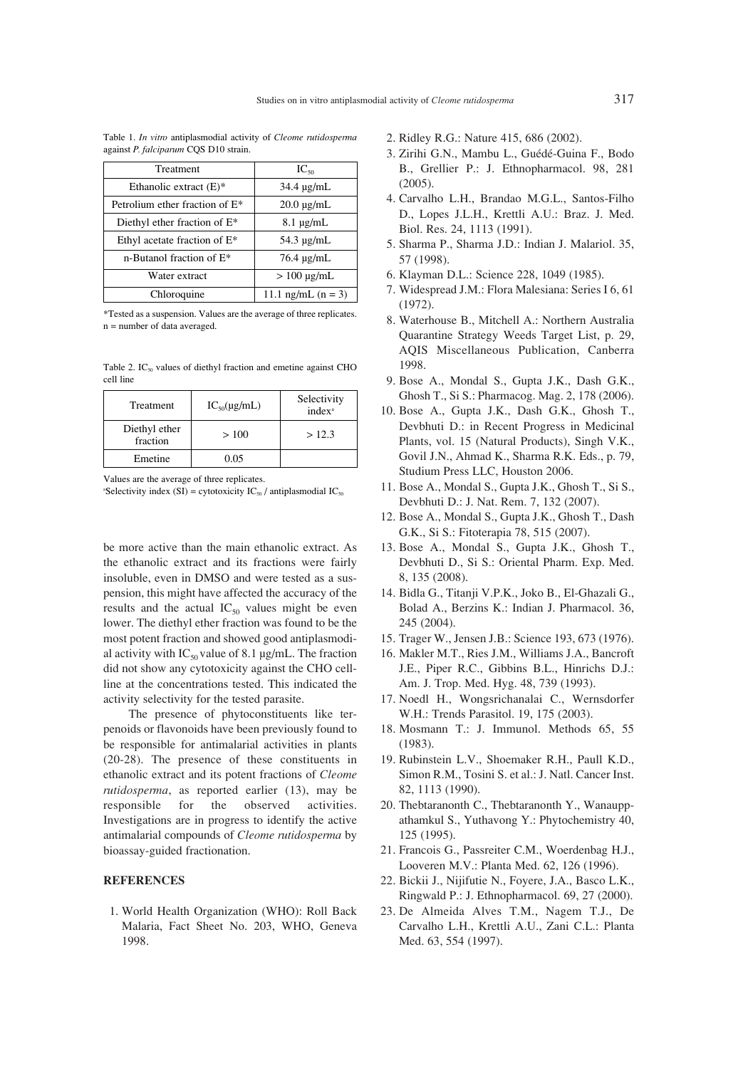| Treatment                         | $IC_{50}$             |  |
|-----------------------------------|-----------------------|--|
| Ethanolic extract $(E)^*$         | $34.4 \text{ µg/mL}$  |  |
| Petrolium ether fraction of $E^*$ | $20.0 \text{ µg/mL}$  |  |
| Diethyl ether fraction of $E^*$   | $8.1 \mu g/mL$        |  |
| Ethyl acetate fraction of $E^*$   | $54.3 \mu g/mL$       |  |
| n-Butanol fraction of E*          | $76.4 \text{ ug/mL}$  |  |
| Water extract                     | $> 100 \text{ ug/mL}$ |  |

Table 1. *In vitro* antiplasmodial activity of *Cleome rutidosperma* against *P. falciparum* CQS D10 strain.

\*Tested as a suspension. Values are the average of three replicates. n = number of data averaged.

Chloroquine  $\vert$  11.1 ng/mL (n = 3)

Table 2.  $IC_{50}$  values of diethyl fraction and emetine against CHO cell line

| Treatment                 | $IC_{50}(\mu g/mL)$ | Selectivity<br>index <sup>a</sup> |
|---------------------------|---------------------|-----------------------------------|
| Diethyl ether<br>fraction | >100                | >12.3                             |
| Emetine                   | 0.05                |                                   |

Values are the average of three replicates.

<sup>a</sup>Selectivity index (SI) = cytotoxicity  $IC_{50}$  / antiplasmodial  $IC_{50}$ 

be more active than the main ethanolic extract. As the ethanolic extract and its fractions were fairly insoluble, even in DMSO and were tested as a suspension, this might have affected the accuracy of the results and the actual  $IC_{50}$  values might be even lower. The diethyl ether fraction was found to be the most potent fraction and showed good antiplasmodial activity with  $IC_{50}$  value of 8.1 µg/mL. The fraction did not show any cytotoxicity against the CHO cellline at the concentrations tested. This indicated the activity selectivity for the tested parasite.

The presence of phytoconstituents like terpenoids or flavonoids have been previously found to be responsible for antimalarial activities in plants (20-28). The presence of these constituents in ethanolic extract and its potent fractions of *Cleome rutidosperma*, as reported earlier (13), may be responsible for the observed activities. Investigations are in progress to identify the active antimalarial compounds of *Cleome rutidosperma* by bioassay-guided fractionation.

#### **REFERENCES**

1. World Health Organization (WHO): Roll Back Malaria, Fact Sheet No. 203, WHO, Geneva 1998.

- 2. Ridley R.G.: Nature 415, 686 (2002).
- 3. Zirihi G.N., Mambu L., Guédé-Guina F., Bodo B., Grellier P.: J. Ethnopharmacol. 98, 281  $(2005)$ .
- 4. Carvalho L.H., Brandao M.G.L., Santos-Filho D., Lopes J.L.H., Krettli A.U.: Braz. J. Med. Biol. Res. 24, 1113 (1991).
- 5. Sharma P., Sharma J.D.: Indian J. Malariol. 35, 57 (1998).
- 6. Klayman D.L.: Science 228, 1049 (1985).
- 7. Widespread J.M.: Flora Malesiana: Series I 6, 61 (1972).
- 8. Waterhouse B., Mitchell A.: Northern Australia Quarantine Strategy Weeds Target List, p. 29, AQIS Miscellaneous Publication, Canberra 1998.
- 9. Bose A., Mondal S., Gupta J.K., Dash G.K., Ghosh T., Si S.: Pharmacog. Mag. 2, 178 (2006).
- 10. Bose A., Gupta J.K., Dash G.K., Ghosh T., Devbhuti D.: in Recent Progress in Medicinal Plants, vol. 15 (Natural Products), Singh V.K., Govil J.N., Ahmad K., Sharma R.K. Eds., p. 79, Studium Press LLC, Houston 2006.
- 11. Bose A., Mondal S., Gupta J.K., Ghosh T., Si S., Devbhuti D.: J. Nat. Rem. 7, 132 (2007).
- 12. Bose A., Mondal S., Gupta J.K., Ghosh T., Dash G.K., Si S.: Fitoterapia 78, 515 (2007).
- 13. Bose A., Mondal S., Gupta J.K., Ghosh T., Devbhuti D., Si S.: Oriental Pharm. Exp. Med. 8, 135 (2008).
- 14. Bidla G., Titanji V.P.K., Joko B., El-Ghazali G., Bolad A., Berzins K.: Indian J. Pharmacol. 36, 245 (2004).
- 15. Trager W., Jensen J.B.: Science 193, 673 (1976).
- 16. Makler M.T., Ries J.M., Williams J.A., Bancroft J.E., Piper R.C., Gibbins B.L., Hinrichs D.J.: Am. J. Trop. Med. Hyg. 48, 739 (1993).
- 17. Noedl H., Wongsrichanalai C., Wernsdorfer W.H.: Trends Parasitol. 19, 175 (2003).
- 18. Mosmann T.: J. Immunol. Methods 65, 55 (1983).
- 19. Rubinstein L.V., Shoemaker R.H., Paull K.D., Simon R.M., Tosini S. et al.: J. Natl. Cancer Inst. 82, 1113 (1990).
- 20. Thebtaranonth C., Thebtaranonth Y., Wanauppathamkul S., Yuthavong Y.: Phytochemistry 40, 125 (1995).
- 21. Francois G., Passreiter C.M., Woerdenbag H.J., Looveren M.V.: Planta Med. 62, 126 (1996).
- 22. Bickii J., Nijifutie N., Foyere, J.A., Basco L.K., Ringwald P.: J. Ethnopharmacol. 69, 27 (2000).
- 23. De Almeida Alves T.M., Nagem T.J., De Carvalho L.H., Krettli A.U., Zani C.L.: Planta Med. 63, 554 (1997).